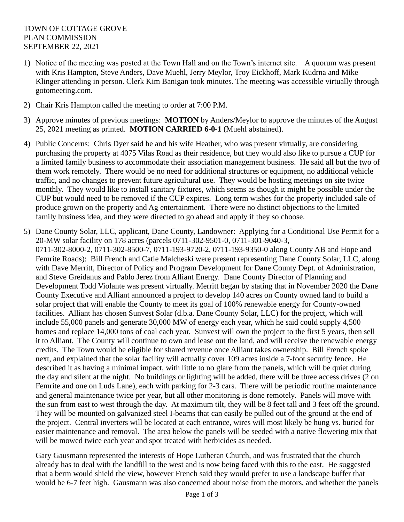- 1) Notice of the meeting was posted at the Town Hall and on the Town's internet site. A quorum was present with Kris Hampton, Steve Anders, Dave Muehl, Jerry Meylor, Troy Eickhoff, Mark Kudrna and Mike Klinger attending in person. Clerk Kim Banigan took minutes. The meeting was accessible virtually through gotomeeting.com.
- 2) Chair Kris Hampton called the meeting to order at 7:00 P.M.
- 3) Approve minutes of previous meetings: **MOTION** by Anders/Meylor to approve the minutes of the August 25, 2021 meeting as printed. **MOTION CARRIED 6-0-1** (Muehl abstained).
- 4) Public Concerns: Chris Dyer said he and his wife Heather, who was present virtually, are considering purchasing the property at 4075 Vilas Road as their residence, but they would also like to pursue a CUP for a limited family business to accommodate their association management business. He said all but the two of them work remotely. There would be no need for additional structures or equipment, no additional vehicle traffic, and no changes to prevent future agricultural use. They would be hosting meetings on site twice monthly. They would like to install sanitary fixtures, which seems as though it might be possible under the CUP but would need to be removed if the CUP expires. Long term wishes for the property included sale of produce grown on the property and Ag entertainment. There were no distinct objections to the limited family business idea, and they were directed to go ahead and apply if they so choose.
- 5) Dane County Solar, LLC, applicant, Dane County, Landowner: Applying for a Conditional Use Permit for a 20-MW solar facility on 178 acres (parcels 0711-302-9501-0, 0711-301-9040-3, 0711-302-8000-2, 0711-302-8500-7, 0711-193-9720-2, 0711-193-9350-0 along County AB and Hope and Femrite Roads): Bill French and Catie Malcheski were present representing Dane County Solar, LLC, along with Dave Merritt, Director of Policy and Program Development for Dane County Dept. of Administration, and Steve Greidanus and Pablo Jerez from Alliant Energy. Dane County Director of Planning and Development Todd Violante was present virtually. Merritt began by stating that in November 2020 the Dane County Executive and Alliant announced a project to develop 140 acres on County owned land to build a solar project that will enable the County to meet its goal of 100% renewable energy for County-owned facilities. Alliant has chosen Sunvest Solar (d.b.a. Dane County Solar, LLC) for the project, which will include 55,000 panels and generate 30,000 MW of energy each year, which he said could supply 4,500 homes and replace 14,000 tons of coal each year. Sunvest will own the project to the first 5 years, then sell it to Alliant. The County will continue to own and lease out the land, and will receive the renewable energy credits. The Town would be eligible for shared revenue once Alliant takes ownership. Bill French spoke next, and explained that the solar facility will actually cover 109 acres inside a 7-foot security fence. He described it as having a minimal impact, with little to no glare from the panels, which will be quiet during the day and silent at the night. No buildings or lighting will be added, there will be three access drives (2 on Femrite and one on Luds Lane), each with parking for 2-3 cars. There will be periodic routine maintenance and general maintenance twice per year, but all other monitoring is done remotely. Panels will move with the sun from east to west through the day. At maximum tilt, they will be 8 feet tall and 3 feet off the ground. They will be mounted on galvanized steel I-beams that can easily be pulled out of the ground at the end of the project. Central inverters will be located at each entrance, wires will most likely be hung vs. buried for easier maintenance and removal. The area below the panels will be seeded with a native flowering mix that will be mowed twice each year and spot treated with herbicides as needed.

Gary Gausmann represented the interests of Hope Lutheran Church, and was frustrated that the church already has to deal with the landfill to the west and is now being faced with this to the east. He suggested that a berm would shield the view, however French said they would prefer to use a landscape buffer that would be 6-7 feet high. Gausmann was also concerned about noise from the motors, and whether the panels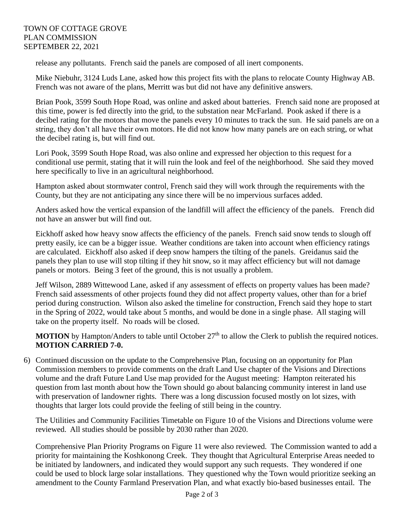release any pollutants. French said the panels are composed of all inert components.

Mike Niebuhr, 3124 Luds Lane, asked how this project fits with the plans to relocate County Highway AB. French was not aware of the plans, Merritt was but did not have any definitive answers.

Brian Pook, 3599 South Hope Road, was online and asked about batteries. French said none are proposed at this time, power is fed directly into the grid, to the substation near McFarland. Pook asked if there is a decibel rating for the motors that move the panels every 10 minutes to track the sun. He said panels are on a string, they don't all have their own motors. He did not know how many panels are on each string, or what the decibel rating is, but will find out.

Lori Pook, 3599 South Hope Road, was also online and expressed her objection to this request for a conditional use permit, stating that it will ruin the look and feel of the neighborhood. She said they moved here specifically to live in an agricultural neighborhood.

Hampton asked about stormwater control, French said they will work through the requirements with the County, but they are not anticipating any since there will be no impervious surfaces added.

Anders asked how the vertical expansion of the landfill will affect the efficiency of the panels. French did not have an answer but will find out.

Eickhoff asked how heavy snow affects the efficiency of the panels. French said snow tends to slough off pretty easily, ice can be a bigger issue. Weather conditions are taken into account when efficiency ratings are calculated. Eickhoff also asked if deep snow hampers the tilting of the panels. Greidanus said the panels they plan to use will stop tilting if they hit snow, so it may affect efficiency but will not damage panels or motors. Being 3 feet of the ground, this is not usually a problem.

Jeff Wilson, 2889 Wittewood Lane, asked if any assessment of effects on property values has been made? French said assessments of other projects found they did not affect property values, other than for a brief period during construction. Wilson also asked the timeline for construction, French said they hope to start in the Spring of 2022, would take about 5 months, and would be done in a single phase. All staging will take on the property itself. No roads will be closed.

**MOTION** by Hampton/Anders to table until October 27<sup>th</sup> to allow the Clerk to publish the required notices. **MOTION CARRIED 7-0.**

6) Continued discussion on the update to the Comprehensive Plan, focusing on an opportunity for Plan Commission members to provide comments on the draft Land Use chapter of the Visions and Directions volume and the draft Future Land Use map provided for the August meeting: Hampton reiterated his question from last month about how the Town should go about balancing community interest in land use with preservation of landowner rights. There was a long discussion focused mostly on lot sizes, with thoughts that larger lots could provide the feeling of still being in the country.

The Utilities and Community Facilities Timetable on Figure 10 of the Visions and Directions volume were reviewed. All studies should be possible by 2030 rather than 2020.

Comprehensive Plan Priority Programs on Figure 11 were also reviewed. The Commission wanted to add a priority for maintaining the Koshkonong Creek. They thought that Agricultural Enterprise Areas needed to be initiated by landowners, and indicated they would support any such requests. They wondered if one could be used to block large solar installations. They questioned why the Town would prioritize seeking an amendment to the County Farmland Preservation Plan, and what exactly bio-based businesses entail. The